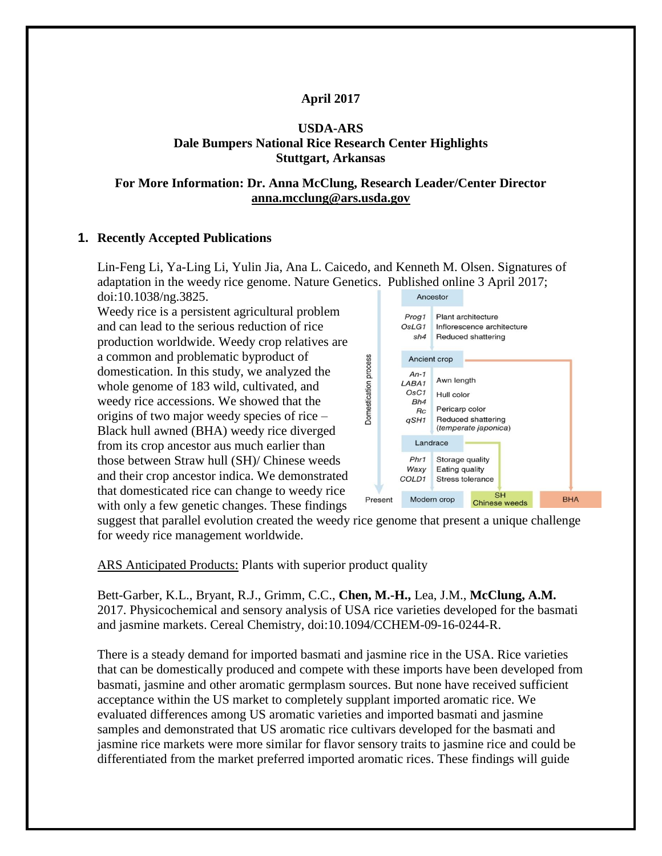## **April 2017**

## **USDA-ARS Dale Bumpers National Rice Research Center Highlights Stuttgart, Arkansas**

### **For More Information: Dr. Anna McClung, Research Leader/Center Director [anna.mcclung@ars.usda.gov](mailto:anna.mcclung@ars.usda.gov)**

### **1. Recently Accepted Publications**

Lin-Feng Li, Ya-Ling Li, Yulin Jia, Ana L. Caicedo, and Kenneth M. Olsen. Signatures of adaptation in the weedy rice genome. Nature Genetics. Published online 3 April 2017; doi:10.1038/ng.3825.

Weedy rice is a persistent agricultural problem and can lead to the serious reduction of rice production worldwide. Weedy crop relatives are a common and problematic byproduct of domestication. In this study, we analyzed the whole genome of 183 wild, cultivated, and weedy rice accessions. We showed that the origins of two major weedy species of rice – Black hull awned (BHA) weedy rice diverged from its crop ancestor aus much earlier than those between Straw hull (SH)/ Chinese weeds and their crop ancestor indica. We demonstrated that domesticated rice can change to weedy rice with only a few genetic changes. These findings



suggest that parallel evolution created the weedy rice genome that present a unique challenge for weedy rice management worldwide.

ARS Anticipated Products: Plants with superior product quality

Bett-Garber*,* K.L., Bryant, R.J., Grimm, C.C., **Chen, M.-H.,** Lea, J.M., **McClung, A.M.** 2017. Physicochemical and sensory analysis of USA rice varieties developed for the basmati and jasmine markets. Cereal Chemistry, doi:10.1094/CCHEM-09-16-0244-R.

There is a steady demand for imported basmati and jasmine rice in the USA. Rice varieties that can be domestically produced and compete with these imports have been developed from basmati, jasmine and other aromatic germplasm sources. But none have received sufficient acceptance within the US market to completely supplant imported aromatic rice. We evaluated differences among US aromatic varieties and imported basmati and jasmine samples and demonstrated that US aromatic rice cultivars developed for the basmati and jasmine rice markets were more similar for flavor sensory traits to jasmine rice and could be differentiated from the market preferred imported aromatic rices. These findings will guide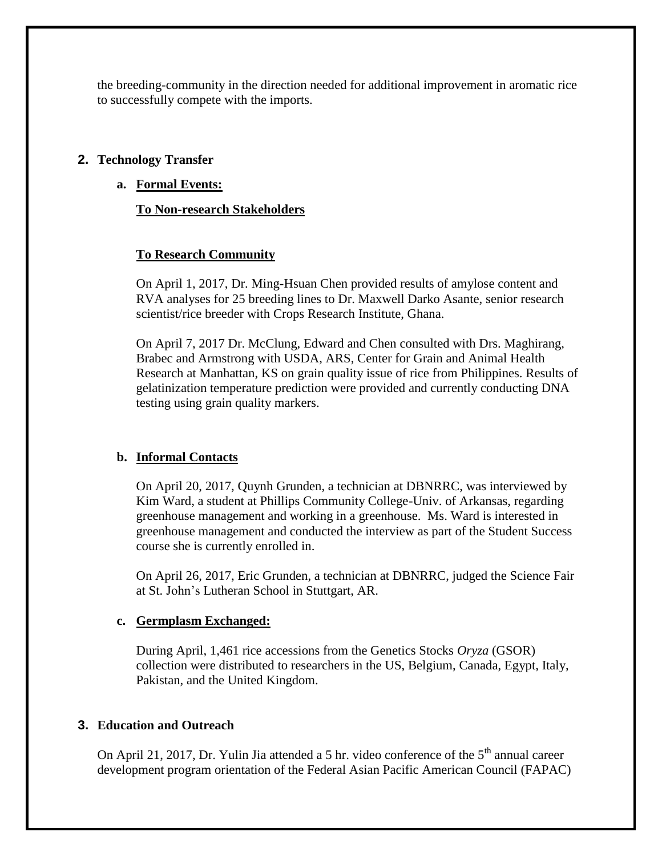the breeding-community in the direction needed for additional improvement in aromatic rice to successfully compete with the imports.

## **2. Technology Transfer**

**a. Formal Events:**

# **To Non-research Stakeholders**

## **To Research Community**

On April 1, 2017, Dr. Ming-Hsuan Chen provided results of amylose content and RVA analyses for 25 breeding lines to Dr. Maxwell Darko Asante, senior research scientist/rice breeder with Crops Research Institute, Ghana.

On April 7, 2017 Dr. McClung, Edward and Chen consulted with Drs. Maghirang, Brabec and Armstrong with USDA, ARS, Center for Grain and Animal Health Research at Manhattan, KS on grain quality issue of rice from Philippines. Results of gelatinization temperature prediction were provided and currently conducting DNA testing using grain quality markers.

# **b. Informal Contacts**

On April 20, 2017, Quynh Grunden, a technician at DBNRRC, was interviewed by Kim Ward, a student at Phillips Community College-Univ. of Arkansas, regarding greenhouse management and working in a greenhouse. Ms. Ward is interested in greenhouse management and conducted the interview as part of the Student Success course she is currently enrolled in.

On April 26, 2017, Eric Grunden, a technician at DBNRRC, judged the Science Fair at St. John's Lutheran School in Stuttgart, AR.

### **c. Germplasm Exchanged:**

During April, 1,461 rice accessions from the Genetics Stocks *Oryza* (GSOR) collection were distributed to researchers in the US, Belgium, Canada, Egypt, Italy, Pakistan, and the United Kingdom.

# **3. Education and Outreach**

On April 21, 2017, Dr. Yulin Jia attended a 5 hr. video conference of the  $5<sup>th</sup>$  annual career development program orientation of the Federal Asian Pacific American Council (FAPAC)